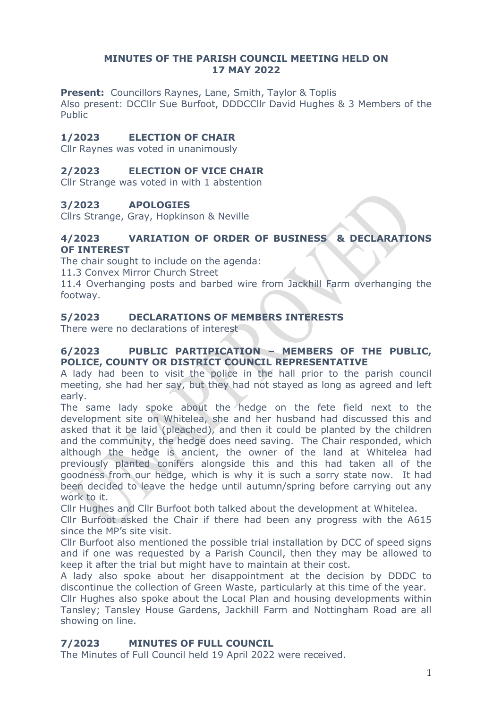## **MINUTES OF THE PARISH COUNCIL MEETING HELD ON 17 MAY 2022**

**Present:** Councillors Raynes, Lane, Smith, Taylor & Toplis

Also present: DCCllr Sue Burfoot, DDDCCllr David Hughes & 3 Members of the Public

# **1/2023 ELECTION OF CHAIR**

Cllr Raynes was voted in unanimously

## **2/2023 ELECTION OF VICE CHAIR**

Cllr Strange was voted in with 1 abstention

## **3/2023 APOLOGIES**

Cllrs Strange, Gray, Hopkinson & Neville

### **4/2023 VARIATION OF ORDER OF BUSINESS & DECLARATIONS OF INTEREST**

The chair sought to include on the agenda:

11.3 Convex Mirror Church Street

11.4 Overhanging posts and barbed wire from Jackhill Farm overhanging the footway.

## **5/2023 DECLARATIONS OF MEMBERS INTERESTS**

There were no declarations of interest

## **6/2023 PUBLIC PARTIPICATION – MEMBERS OF THE PUBLIC, POLICE, COUNTY OR DISTRICT COUNCIL REPRESENTATIVE**

A lady had been to visit the police in the hall prior to the parish council meeting, she had her say, but they had not stayed as long as agreed and left early.

The same lady spoke about the hedge on the fete field next to the development site on Whitelea, she and her husband had discussed this and asked that it be laid (pleached), and then it could be planted by the children and the community, the hedge does need saving. The Chair responded, which although the hedge is ancient, the owner of the land at Whitelea had previously planted conifers alongside this and this had taken all of the goodness from our hedge, which is why it is such a sorry state now. It had been decided to leave the hedge until autumn/spring before carrying out any work to it.

Cllr Hughes and Cllr Burfoot both talked about the development at Whitelea.

Cllr Burfoot asked the Chair if there had been any progress with the A615 since the MP's site visit.

Cllr Burfoot also mentioned the possible trial installation by DCC of speed signs and if one was requested by a Parish Council, then they may be allowed to keep it after the trial but might have to maintain at their cost.

A lady also spoke about her disappointment at the decision by DDDC to discontinue the collection of Green Waste, particularly at this time of the year.

Cllr Hughes also spoke about the Local Plan and housing developments within Tansley; Tansley House Gardens, Jackhill Farm and Nottingham Road are all showing on line.

# **7/2023 MINUTES OF FULL COUNCIL**

The Minutes of Full Council held 19 April 2022 were received.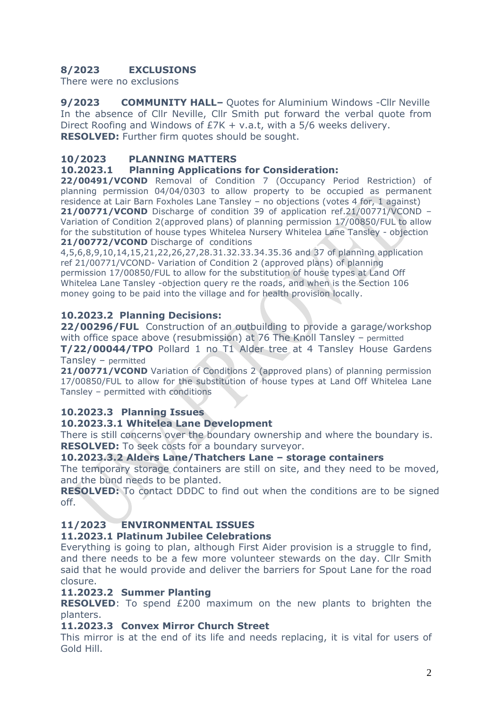# **8/2023 EXCLUSIONS**

There were no exclusions

**9/2023 COMMUNITY HALL–** Quotes for Aluminium Windows -Cllr Neville In the absence of Cllr Neville, Cllr Smith put forward the verbal quote from Direct Roofing and Windows of £7K + v.a.t, with a 5/6 weeks delivery. **RESOLVED:** Further firm quotes should be sought.

## **10/2023 PLANNING MATTERS**

#### **10.2023.1 Planning Applications for Consideration:**

**22/00491/VCOND** Removal of Condition 7 (Occupancy Period Restriction) of planning permission 04/04/0303 to allow property to be occupied as permanent residence at Lair Barn Foxholes Lane Tansley – no objections (votes 4 for, 1 against) **21/00771/VCOND** Discharge of condition 39 of application ref.21/00771/VCOND – Variation of Condition 2(approved plans) of planning permission 17/00850/FUL to allow for the substitution of house types Whitelea Nursery Whitelea Lane Tansley - objection 21/00772/VCOND Discharge of conditions

4,5,6,8,9,10,14,15,21,22,26,27,28.31.32.33.34.35.36 and 37 of planning application ref 21/00771/VCOND- Variation of Condition 2 (approved plans) of planning permission 17/00850/FUL to allow for the substitution of house types at Land Off Whitelea Lane Tansley -objection query re the roads, and when is the Section 106 money going to be paid into the village and for health provision locally.

## **10.2023.2 Planning Decisions:**

**22/00296/FUL** Construction of an outbuilding to provide a garage/workshop with office space above (resubmission) at 76 The Knoll Tansley – permitted

**T/22/00044/TPO** Pollard 1 no T1 Alder tree at 4 Tansley House Gardens Tansley – permitted

21/00771/VCOND Variation of Conditions 2 (approved plans) of planning permission 17/00850/FUL to allow for the substitution of house types at Land Off Whitelea Lane Tansley – permitted with conditions

## **10.2023.3 Planning Issues**

#### **10.2023.3.1 Whitelea Lane Development**

There is still concerns over the boundary ownership and where the boundary is. **RESOLVED:** To seek costs for a boundary surveyor.

#### **10.2023.3.2 Alders Lane/Thatchers Lane – storage containers**

The temporary storage containers are still on site, and they need to be moved, and the bund needs to be planted.

**RESOLVED:** To contact DDDC to find out when the conditions are to be signed off.

## **11/2023 ENVIRONMENTAL ISSUES**

#### **11.2023.1 Platinum Jubilee Celebrations**

Everything is going to plan, although First Aider provision is a struggle to find, and there needs to be a few more volunteer stewards on the day. Cllr Smith said that he would provide and deliver the barriers for Spout Lane for the road closure.

#### **11.2023.2 Summer Planting**

**RESOLVED**: To spend £200 maximum on the new plants to brighten the planters.

#### **11.2023.3 Convex Mirror Church Street**

This mirror is at the end of its life and needs replacing, it is vital for users of Gold Hill.